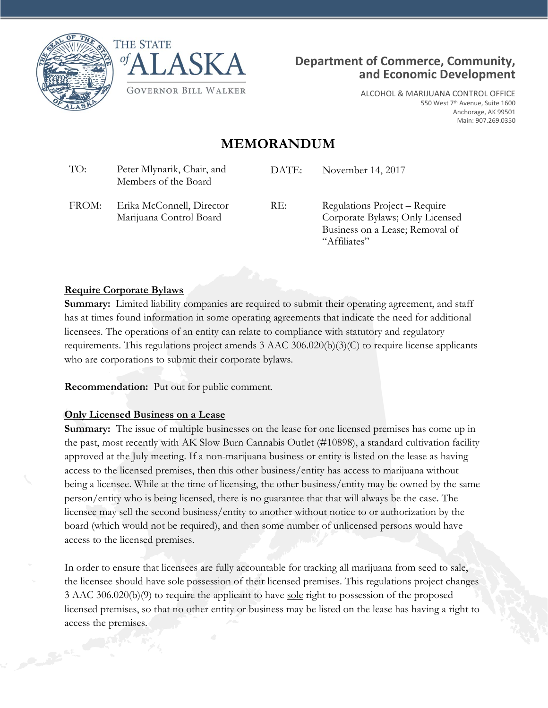





Business on a Lease; Removal of

"Affiliates"

ALCOHOL & MARIJUANA CONTROL OFFICE 550 West 7<sup>th</sup> Avenue, Suite 1600 Anchorage, AK 99501 Main: 907.269.0350

## **MEMORANDUM**

| TO:   | Peter Mlynarik, Chair, and<br>Members of the Board   | DATE: | November 14, 2017                                                |
|-------|------------------------------------------------------|-------|------------------------------------------------------------------|
| FROM: | Erika McConnell, Director<br>Marijuana Control Board | RE:   | Regulations Project – Require<br>Corporate Bylaws; Only Licensed |

## **Require Corporate Bylaws**

**Summary:** Limited liability companies are required to submit their operating agreement, and staff has at times found information in some operating agreements that indicate the need for additional licensees. The operations of an entity can relate to compliance with statutory and regulatory requirements. This regulations project amends 3 AAC 306.020(b)(3)(C) to require license applicants who are corporations to submit their corporate bylaws.

**Recommendation:** Put out for public comment.

## **Only Licensed Business on a Lease**

**Summary:** The issue of multiple businesses on the lease for one licensed premises has come up in the past, most recently with AK Slow Burn Cannabis Outlet (#10898), a standard cultivation facility approved at the July meeting. If a non-marijuana business or entity is listed on the lease as having access to the licensed premises, then this other business/entity has access to marijuana without being a licensee. While at the time of licensing, the other business/entity may be owned by the same person/entity who is being licensed, there is no guarantee that that will always be the case. The licensee may sell the second business/entity to another without notice to or authorization by the board (which would not be required), and then some number of unlicensed persons would have access to the licensed premises.

In order to ensure that licensees are fully accountable for tracking all marijuana from seed to sale, the licensee should have sole possession of their licensed premises. This regulations project changes 3 AAC 306.020(b)(9) to require the applicant to have sole right to possession of the proposed licensed premises, so that no other entity or business may be listed on the lease has having a right to access the premises.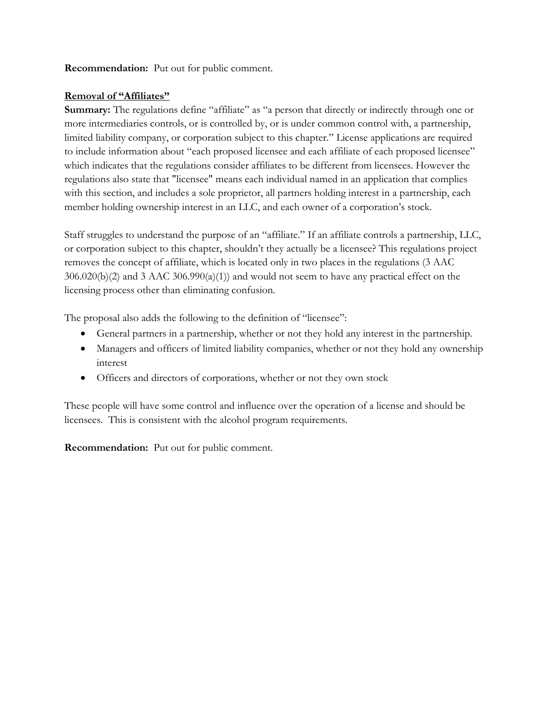**Recommendation:** Put out for public comment.

## **Removal of "Affiliates"**

**Summary:** The regulations define "affiliate" as "a person that directly or indirectly through one or more intermediaries controls, or is controlled by, or is under common control with, a partnership, limited liability company, or corporation subject to this chapter." License applications are required to include information about "each proposed licensee and each affiliate of each proposed licensee" which indicates that the regulations consider affiliates to be different from licensees. However the regulations also state that "licensee" means each individual named in an application that complies with this section, and includes a sole proprietor, all partners holding interest in a partnership, each member holding ownership interest in an LLC, and each owner of a corporation's stock.

Staff struggles to understand the purpose of an "affiliate." If an affiliate controls a partnership, LLC, or corporation subject to this chapter, shouldn't they actually be a licensee? This regulations project removes the concept of affiliate, which is located only in two places in the regulations (3 AAC 306.020(b)(2) and 3 AAC 306.990(a)(1)) and would not seem to have any practical effect on the licensing process other than eliminating confusion.

The proposal also adds the following to the definition of "licensee":

- General partners in a partnership, whether or not they hold any interest in the partnership.
- Managers and officers of limited liability companies, whether or not they hold any ownership interest
- Officers and directors of corporations, whether or not they own stock

These people will have some control and influence over the operation of a license and should be licensees. This is consistent with the alcohol program requirements.

**Recommendation:** Put out for public comment.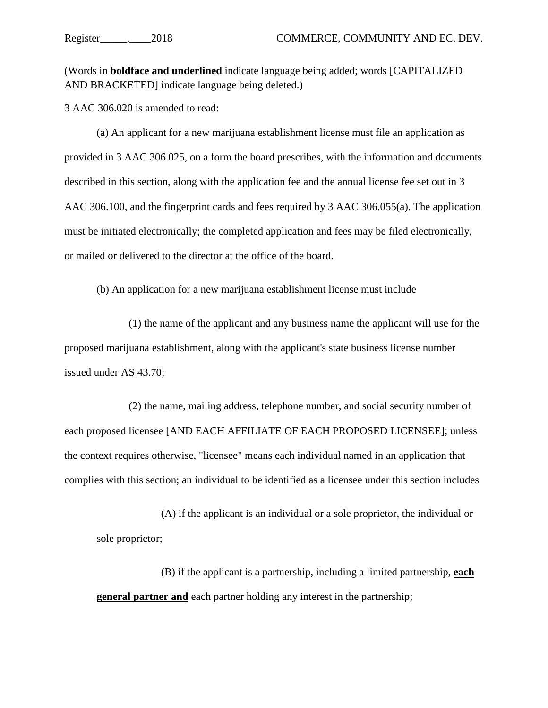(Words in **boldface and underlined** indicate language being added; words [CAPITALIZED AND BRACKETED] indicate language being deleted.)

3 AAC 306.020 [is amended to read:](http://www.akleg.gov/basis/aac.asp#3.306.020)

(a) An applicant for a new marijuana establishment license must file an application as provided in 3 AAC 306.025, on a form the board prescribes, with the information and documents described in this section, along with the application fee and the annual license fee set out in 3 AAC 306.100, and the fingerprint cards and fees required by 3 AAC 306.055(a). The application must be initiated electronically; the completed application and fees may be filed electronically, or mailed or delivered to the director at the office of the board.

(b) An application for a new marijuana establishment license must include

(1) the name of the applicant and any business name the applicant will use for the proposed marijuana establishment, along with the applicant's state business license number issued under AS 43.70;

(2) the name, mailing address, telephone number, and social security number of each proposed licensee [AND EACH AFFILIATE OF EACH PROPOSED LICENSEE]; unless the context requires otherwise, "licensee" means each individual named in an application that complies with this section; an individual to be identified as a licensee under this section includes

(A) if the applicant is an individual or a sole proprietor, the individual or sole proprietor;

(B) if the applicant is a partnership, including a limited partnership, **each general partner and** each partner holding any interest in the partnership;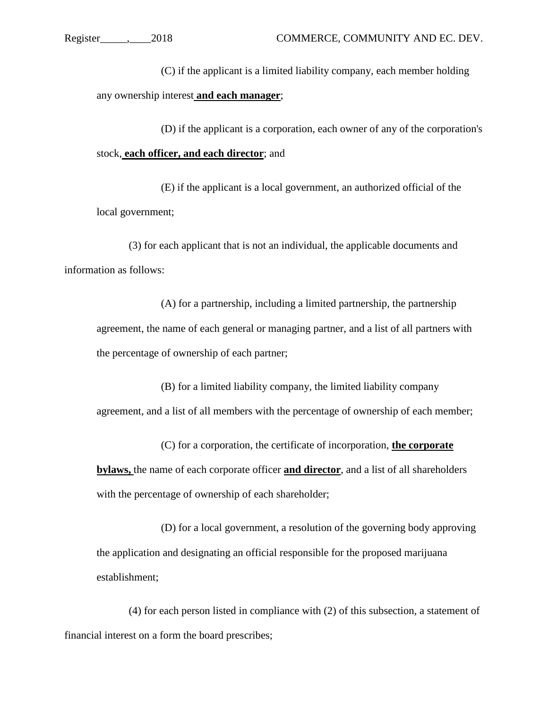(C) if the applicant is a limited liability company, each member holding any ownership interest **and each manager**;

(D) if the applicant is a corporation, each owner of any of the corporation's stock, **each officer, and each director**; and

(E) if the applicant is a local government, an authorized official of the local government;

(3) for each applicant that is not an individual, the applicable documents and information as follows:

(A) for a partnership, including a limited partnership, the partnership agreement, the name of each general or managing partner, and a list of all partners with the percentage of ownership of each partner;

(B) for a limited liability company, the limited liability company agreement, and a list of all members with the percentage of ownership of each member;

(C) for a corporation, the certificate of incorporation, **the corporate bylaws,** the name of each corporate officer **and director**, and a list of all shareholders with the percentage of ownership of each shareholder;

(D) for a local government, a resolution of the governing body approving the application and designating an official responsible for the proposed marijuana establishment;

(4) for each person listed in compliance with (2) of this subsection, a statement of financial interest on a form the board prescribes;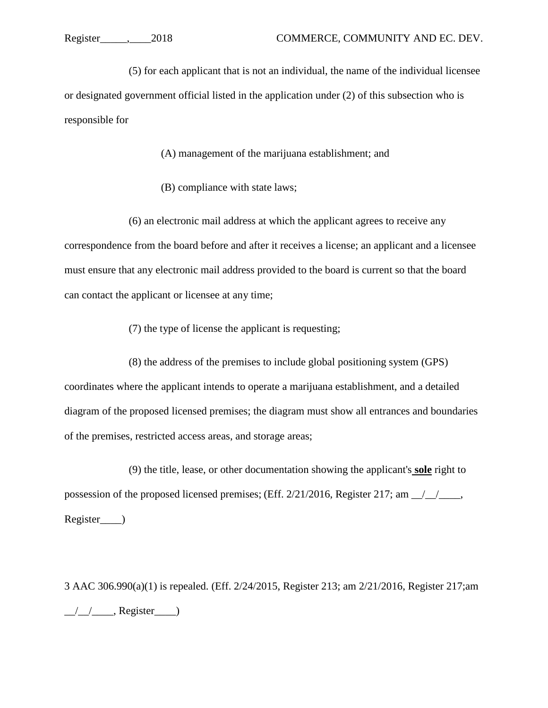(5) for each applicant that is not an individual, the name of the individual licensee or designated government official listed in the application under (2) of this subsection who is responsible for

(A) management of the marijuana establishment; and

(B) compliance with state laws;

(6) an electronic mail address at which the applicant agrees to receive any correspondence from the board before and after it receives a license; an applicant and a licensee must ensure that any electronic mail address provided to the board is current so that the board can contact the applicant or licensee at any time;

(7) the type of license the applicant is requesting;

(8) the address of the premises to include global positioning system (GPS) coordinates where the applicant intends to operate a marijuana establishment, and a detailed diagram of the proposed licensed premises; the diagram must show all entrances and boundaries of the premises, restricted access areas, and storage areas;

(9) the title, lease, or other documentation showing the applicant's **sole** right to possession of the proposed licensed premises; (Eff. 2/21/2016, Register 217; am \_\_/\_\_/\_\_\_\_, Register\_\_\_\_)

3 AAC 306.990(a)(1) is repealed. (Eff. 2/24/2015, Register 213; am 2/21/2016, Register 217;am  $\frac{1}{2}$  , Register  $\frac{1}{2}$